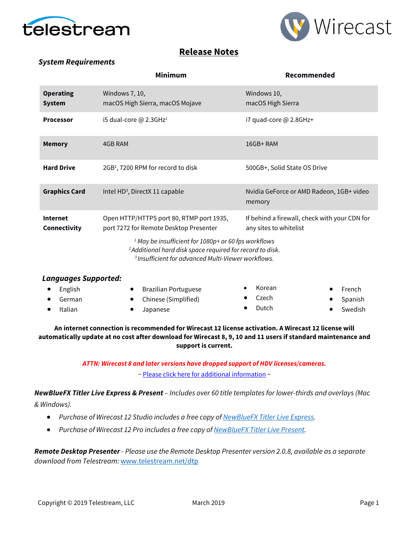



# **Release Notes**

### *System Requirements*

|                                   | Minimum                                                                                                                                 | Recommended                                                             |  |  |  |
|-----------------------------------|-----------------------------------------------------------------------------------------------------------------------------------------|-------------------------------------------------------------------------|--|--|--|
| <b>Operating</b><br><b>System</b> | Windows 7, 10,<br>macOS High Sierra, macOS Mojave                                                                                       | Windows 10,<br>macOS High Sierra                                        |  |  |  |
| <b>Processor</b>                  | i5 dual-core $@$ 2.3GHz <sup>1</sup>                                                                                                    | i7 quad-core $@$ 2.8GHz+                                                |  |  |  |
| <b>Memory</b>                     | 4GB RAM                                                                                                                                 | 16GB+RAM                                                                |  |  |  |
| <b>Hard Drive</b>                 | 2GB <sup>2</sup> , 7200 RPM for record to disk                                                                                          | 500GB+, Solid State OS Drive                                            |  |  |  |
| <b>Graphics Card</b>              | Intel HD <sup>3</sup> , DirectX 11 capable                                                                                              | Nvidia GeForce or AMD Radeon, 1GB+ video<br>memory                      |  |  |  |
| <b>Internet</b><br>Connectivity   | Open HTTP/HTTPS port 80, RTMP port 1935,<br>port 7272 for Remote Desktop Presenter                                                      | If behind a firewall, check with your CDN for<br>any sites to whitelist |  |  |  |
|                                   | <sup>1</sup> May be insufficient for 1080p+ or 60 fps workflows<br><sup>2</sup> Additional hard disk space required for record to disk. |                                                                         |  |  |  |

*3 Insufficient for advanced Multi-Viewer workflows.*

| <b>Languages Supported:</b> |  |                             |  |        |  |           |
|-----------------------------|--|-----------------------------|--|--------|--|-----------|
| English                     |  | <b>Brazilian Portuguese</b> |  | Korean |  | French    |
| German                      |  | Chinese (Simplified)        |  | Czech  |  | • Spanish |
| Italian                     |  | Japanese                    |  | Dutch  |  | Swedish   |
|                             |  |                             |  |        |  |           |

### **An internet connection is recommended for Wirecast 12 license activation. A Wirecast 12 license will automatically update at no cost after download for Wirecast 8, 9, 10 and 11 users if standard maintenance and support is current.**

*ATTN: Wirecast 8 and later versions have dropped support of HDV licenses/cameras.*  [~ Please click here for additional information](http://www.telestream.net/telestream-support/wire-cast/faq.htm?kbURL=http://telestream.force.com/kb/articles/Knowledge_Article/Wirecast-HDV-Firewire-No-longer-Supported/) ~

*NewBlueFX Titler Live Express & Present – Includes over 60 title templates for lower-thirds and overlays (Mac & Windows).*

- *Purchase of Wirecast 12 Studio includes a free copy of [NewBlueFX Titler Live Express.](http://www.telestream.net/wirecast/newblue.htm#express)*
- *Purchase of Wirecast 12 Pro includes a free copy o[f NewBlueFX Titler Live Present.](http://www.telestream.net/wirecast/newblue.htm#present)*

*Remote Desktop Presenter - Please use the Remote Desktop Presenter version 2.0.8, available as a separate download from Telestream:* [www.telestream.net/dtp](http://www.telestream.net/dtp)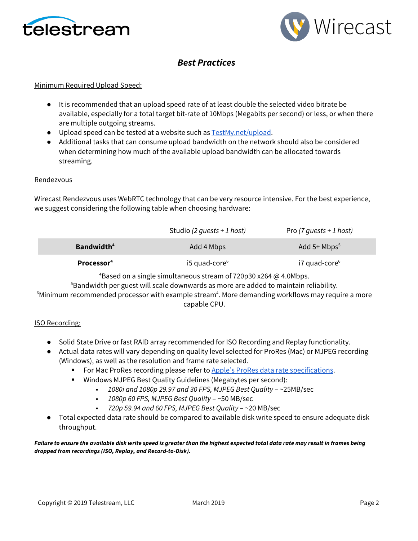



# *Best Practices*

### Minimum Required Upload Speed:

- It is recommended that an upload speed rate of at least double the selected video bitrate be available, especially for a total target bit-rate of 10Mbps (Megabits per second) or less, or when there are multiple outgoing streams.
- Upload speed can be tested at a website such as [TestMy.net/upload.](http://testmy.net/upload)
- Additional tasks that can consume upload bandwidth on the network should also be considered when determining how much of the available upload bandwidth can be allocated towards streaming.

### Rendezvous

Wirecast Rendezvous uses WebRTC technology that can be very resource intensive. For the best experience, we suggest considering the following table when choosing hardware:

|                        | Studio (2 quests + 1 host) | Pro $(7 \text{ quests + 1 host)}$ |
|------------------------|----------------------------|-----------------------------------|
| Bandwidth <sup>4</sup> | Add 4 Mbps                 | Add $5+$ Mbps <sup>5</sup>        |
| Processor <sup>4</sup> | $i5$ quad-core $6$         | i7 quad-core <sup>6</sup>         |

 $^4$ Based on a single simultaneous stream of 720p30 x264 @ 4.0Mbps.

 $^5$ Bandwidth per guest will scale downwards as more are added to maintain reliability.

 $^6$ Minimum recommended processor with example stream $^4$ . More demanding workflows may require a more capable CPU.

### ISO Recording:

- Solid State Drive or fast RAID array recommended for ISO Recording and Replay functionality.
- Actual data rates will vary depending on quality level selected for ProRes (Mac) or MJPEG recording (Windows), as well as the resolution and frame rate selected.
	- For Mac ProRes recording please refer to [Apple's ProRes data rate specifications.](https://documentation.apple.com/en/finalcutpro/professionalformatsandworkflows/index.html)
	- Windows MJPEG Best Quality Guidelines (Megabytes per second):
		- *1080i and 1080p 29.97 and 30 FPS, MJPEG Best Quality* ~25MB/sec
		- *1080p 60 FPS, MJPEG Best Quality* ~50 MB/sec
		- *720p 59.94 and 60 FPS, MJPEG Best Quality* ~20 MB/sec
- Total expected data rate should be compared to available disk write speed to ensure adequate disk throughput.

*Failure to ensure the available disk write speed is greater than the highest expected total data rate may result in frames being dropped from recordings (ISO, Replay, and Record-to-Disk).*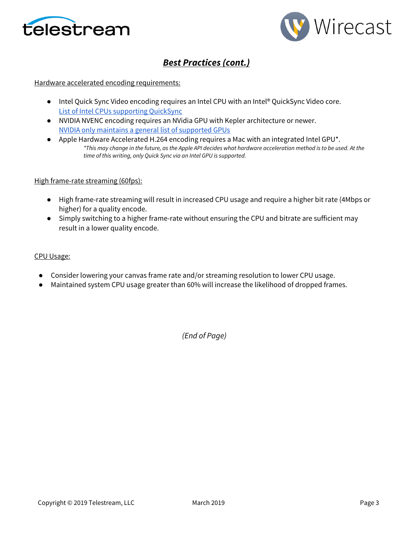



# *Best Practices (cont.)*

### Hardware accelerated encoding requirements:

- Intel Quick Sync Video encoding requires an Intel CPU with an Intel® QuickSync Video core[.](http://ark.intel.com/search/advanced?QuickSyncVideo=true&MarketSegment=DT) [List of Intel CPUs supporting QuickSync](http://ark.intel.com/search/advanced?QuickSyncVideo=true&MarketSegment=DT)
- NVIDIA NVENC encoding requires an NVidia GPU with Kepler architecture or newer[.](https://developer.nvidia.com/nvidia-video-codec-sdk) [NVIDIA only maintains a general list of supported GPUs](https://developer.nvidia.com/nvidia-video-codec-sdk)
- Apple Hardware Accelerated H.264 encoding requires a Mac with an integrated Intel GPU<sup>\*</sup>. *\*This may change in the future, as the Apple API decides what hardware acceleration method is to be used. At the time of this writing, only Quick Sync via an Intel GPU is supported.*

### High frame-rate streaming (60fps):

- High frame-rate streaming will result in increased CPU usage and require a higher bit rate (4Mbps or higher) for a quality encode.
- Simply switching to a higher frame-rate without ensuring the CPU and bitrate are sufficient may result in a lower quality encode.

#### CPU Usage:

- Consider lowering your canvas frame rate and/or streaming resolution to lower CPU usage.
- Maintained system CPU usage greater than 60% will increase the likelihood of dropped frames.

*(End of Page)*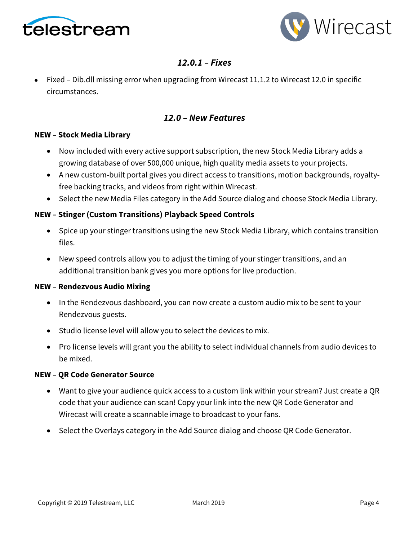



# *12.0.1 – Fixes*

• Fixed – Dib.dll missing error when upgrading from Wirecast 11.1.2 to Wirecast 12.0 in specific circumstances.

# *12.0 – New Features*

## **NEW – Stock Media Library**

- Now included with every active support subscription, the new Stock Media Library adds a growing database of over 500,000 unique, high quality media assets to your projects.
- A new custom-built portal gives you direct access to transitions, motion backgrounds, royaltyfree backing tracks, and videos from right within Wirecast.
- Select the new Media Files category in the Add Source dialog and choose Stock Media Library.

## **NEW – Stinger (Custom Transitions) Playback Speed Controls**

- Spice up your stinger transitions using the new Stock Media Library, which contains transition files.
- New speed controls allow you to adjust the timing of your stinger transitions, and an additional transition bank gives you more options for live production.

## **NEW – Rendezvous Audio Mixing**

- In the Rendezvous dashboard, you can now create a custom audio mix to be sent to your Rendezvous guests.
- Studio license level will allow you to select the devices to mix.
- Pro license levels will grant you the ability to select individual channels from audio devices to be mixed.

### **NEW – QR Code Generator Source**

- Want to give your audience quick access to a custom link within your stream? Just create a QR code that your audience can scan! Copy your link into the new QR Code Generator and Wirecast will create a scannable image to broadcast to your fans.
- Select the Overlays category in the Add Source dialog and choose QR Code Generator.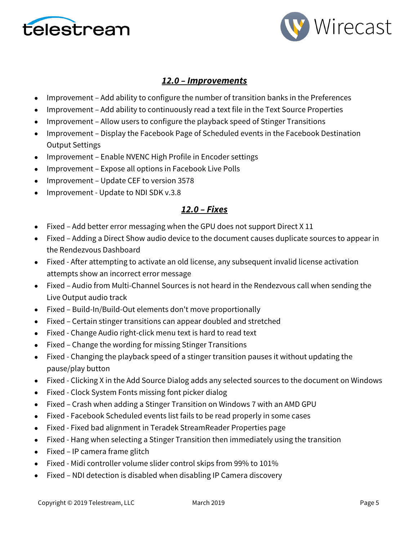



# *12.0 – Improvements*

- Improvement Add ability to configure the number of transition banks in the Preferences
- Improvement Add ability to continuously read a text file in the Text Source Properties
- Improvement Allow users to configure the playback speed of Stinger Transitions
- Improvement Display the Facebook Page of Scheduled events in the Facebook Destination Output Settings
- Improvement Enable NVENC High Profile in Encoder settings
- Improvement Expose all options in Facebook Live Polls
- Improvement Update CEF to version 3578
- Improvement Update to NDI SDK v.3.8

# *12.0 – Fixes*

- Fixed Add better error messaging when the GPU does not support Direct X 11
- Fixed Adding a Direct Show audio device to the document causes duplicate sources to appear in the Rendezvous Dashboard
- Fixed After attempting to activate an old license, any subsequent invalid license activation attempts show an incorrect error message
- Fixed Audio from Multi-Channel Sources is not heard in the Rendezvous call when sending the Live Output audio track
- Fixed Build-In/Build-Out elements don't move proportionally
- Fixed Certain stinger transitions can appear doubled and stretched
- Fixed Change Audio right-click menu text is hard to read text
- Fixed Change the wording for missing Stinger Transitions
- Fixed Changing the playback speed of a stinger transition pauses it without updating the pause/play button
- Fixed Clicking X in the Add Source Dialog adds any selected sources to the document on Windows
- Fixed Clock System Fonts missing font picker dialog
- Fixed Crash when adding a Stinger Transition on Windows 7 with an AMD GPU
- Fixed Facebook Scheduled events list fails to be read properly in some cases
- Fixed Fixed bad alignment in Teradek StreamReader Properties page
- Fixed Hang when selecting a Stinger Transition then immediately using the transition
- Fixed IP camera frame glitch
- Fixed Midi controller volume slider control skips from 99% to 101%
- Fixed NDI detection is disabled when disabling IP Camera discovery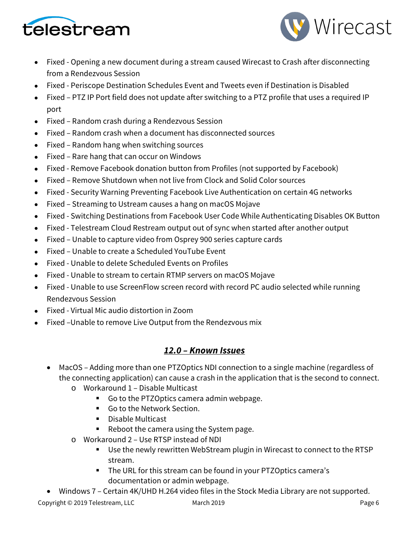



- Fixed Opening a new document during a stream caused Wirecast to Crash after disconnecting from a Rendezvous Session
- Fixed Periscope Destination Schedules Event and Tweets even if Destination is Disabled
- Fixed PTZ IP Port field does not update after switching to a PTZ profile that uses a required IP port
- Fixed Random crash during a Rendezvous Session
- Fixed Random crash when a document has disconnected sources
- Fixed Random hang when switching sources
- Fixed Rare hang that can occur on Windows
- Fixed Remove Facebook donation button from Profiles (not supported by Facebook)
- Fixed Remove Shutdown when not live from Clock and Solid Color sources
- Fixed Security Warning Preventing Facebook Live Authentication on certain 4G networks
- Fixed Streaming to Ustream causes a hang on macOS Mojave
- Fixed Switching Destinations from Facebook User Code While Authenticating Disables OK Button
- Fixed Telestream Cloud Restream output out of sync when started after another output
- Fixed Unable to capture video from Osprey 900 series capture cards
- Fixed Unable to create a Scheduled YouTube Event
- Fixed Unable to delete Scheduled Events on Profiles
- Fixed Unable to stream to certain RTMP servers on macOS Mojave
- Fixed Unable to use ScreenFlow screen record with record PC audio selected while running Rendezvous Session
- Fixed Virtual Mic audio distortion in Zoom
- Fixed –Unable to remove Live Output from the Rendezvous mix

# *12.0 – Known Issues*

- MacOS Adding more than one PTZOptics NDI connection to a single machine (regardless of the connecting application) can cause a crash in the application that is the second to connect.
	- o Workaround 1 Disable Multicast
		- Go to the PTZOptics camera admin webpage.
		- Go to the Network Section.
		- Disable Multicast
		- Reboot the camera using the System page.
	- o Workaround 2 Use RTSP instead of NDI
		- Use the newly rewritten WebStream plugin in Wirecast to connect to the RTSP stream.
		- The URL for this stream can be found in your PTZOptics camera's documentation or admin webpage.
- Windows 7 Certain 4K/UHD H.264 video files in the Stock Media Library are not supported.